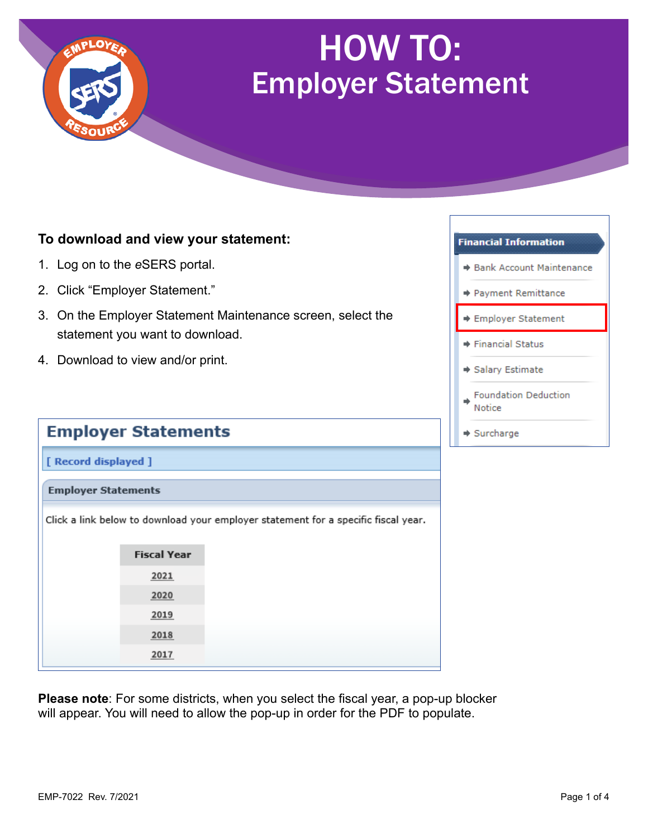

## HOW TO: Employer Statement

## **To download and view your statement:**

- 1. Log on to the *e*SERS portal.
- 2. Click "Employer Statement."
- 3. On the Employer Statement Maintenance screen, select the statement you want to download.
- 4. Download to view and/or print.

|                            | <b>Employer Statements</b> |                                                                                    |
|----------------------------|----------------------------|------------------------------------------------------------------------------------|
| [ Record displayed ]       |                            |                                                                                    |
| <b>Employer Statements</b> |                            |                                                                                    |
|                            |                            | Click a link below to download your employer statement for a specific fiscal year. |
|                            | <b>Fiscal Year</b>         |                                                                                    |
|                            | 2021                       |                                                                                    |
|                            | 2020                       |                                                                                    |
|                            | 2019                       |                                                                                    |
|                            | 2018                       |                                                                                    |
|                            | 2017                       |                                                                                    |

**Please note**: For some districts, when you select the fiscal year, a pop-up blocker will appear. You will need to allow the pop-up in order for the PDF to populate.

## **Financial Information**

- → Bank Account Maintenance
- → Payment Remittance
- **Employer Statement**
- **→ Financial Status**
- Salary Estimate
- **Foundation Deduction** Notice
- $\Rightarrow$  Surcharge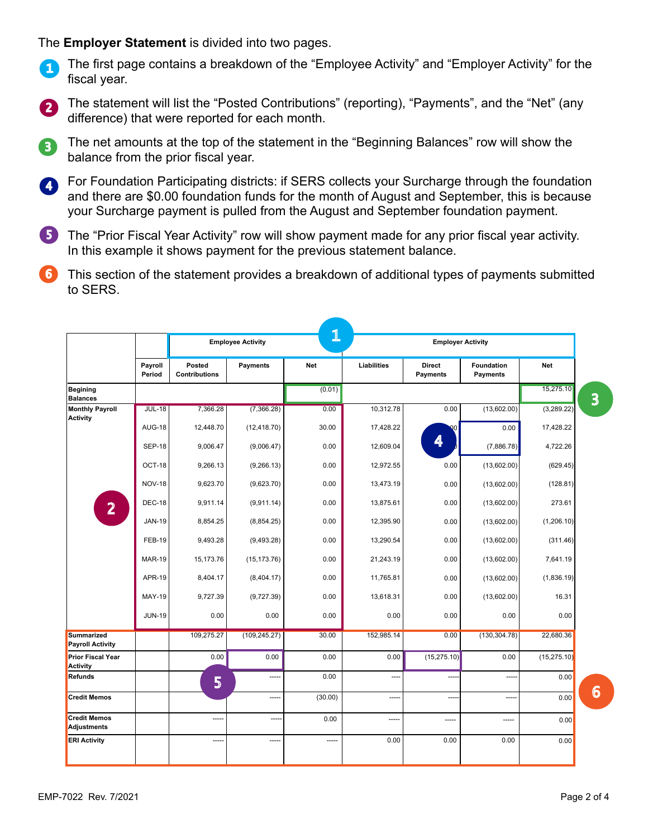The **Employer Statement** is divided into two pages.

- The first page contains a breakdown of the "Employee Activity" and "Employer Activity" for the fiscal year. 1
- 2 The statement will list the "Posted Contributions" (reporting), "Payments", and the "Net" (any difference) that were reported for each month.
- The net amounts at the top of the statement in the "Beginning Balances" row will show the 3 balance from the prior fiscal year.
- For Foundation Participating districts: if SERS collects your Surcharge through the foundation and there are \$0.00 foundation funds for the month of August and September, this is because your Surcharge payment is pulled from the August and September foundation payment. 4
- 5 The "Prior Fiscal Year Activity" row will show payment made for any prior fiscal year activity. In this example it shows payment for the previous statement balance.
- 6 This section of the statement provides a breakdown of additional types of payments submitted to SERS.

|                                              |                   |                                | <b>Employee Activity</b> | 1       |                          | <b>Employer Activity</b>  |                        |              |  |  |
|----------------------------------------------|-------------------|--------------------------------|--------------------------|---------|--------------------------|---------------------------|------------------------|--------------|--|--|
|                                              | Payroll<br>Period | Posted<br><b>Contributions</b> | <b>Payments</b>          | Net     | Liabilities              | <b>Direct</b><br>Payments | Foundation<br>Payments | Net          |  |  |
| <b>Begining</b><br><b>Balances</b>           |                   |                                |                          | (0.01)  |                          |                           |                        | 15,275.10    |  |  |
| <b>Monthly Payroll</b><br><b>Activity</b>    | <b>JUL-18</b>     | 7,366.28                       | (7,366.28)               | 0.00    | 10,312.78                | 0.00                      | (13,602.00)            | (3,289.22)   |  |  |
|                                              | <b>AUG-18</b>     | 12,448.70                      | (12, 418.70)             | 30.00   | 17,428.22                |                           | 0.00                   | 17,428.22    |  |  |
|                                              | <b>SEP-18</b>     | 9,006.47                       | (9,006.47)               | 0.00    | 12,609.04                | 4                         | (7,886.78)             | 4,722.26     |  |  |
|                                              | OCT-18            | 9,266.13                       | (9, 266.13)              | 0.00    | 12,972.55                | 0.00                      | (13,602.00)            | (629.45)     |  |  |
|                                              | <b>NOV-18</b>     | 9,623.70                       | (9,623.70)               | 0.00    | 13,473.19                | 0.00                      | (13,602.00)            | (128.81)     |  |  |
| $\overline{2}$                               | <b>DEC-18</b>     | 9,911.14                       | (9,911.14)               | 0.00    | 13,875.61                | 0.00                      | (13,602.00)            | 273.61       |  |  |
|                                              | <b>JAN-19</b>     | 8,854.25                       | (8, 854.25)              | 0.00    | 12,395.90                | 0.00                      | (13,602.00)            | (1,206.10)   |  |  |
|                                              | <b>FEB-19</b>     | 9,493.28                       | (9,493.28)               | 0.00    | 13,290.54                | 0.00                      | (13,602.00)            | (311.46)     |  |  |
|                                              | <b>MAR-19</b>     | 15,173.76                      | (15, 173.76)             | 0.00    | 21,243.19                | 0.00                      | (13,602.00)            | 7,641.19     |  |  |
|                                              | <b>APR-19</b>     | 8,404.17                       | (8,404.17)               | 0.00    | 11,765.81                | 0.00                      | (13,602.00)            | (1,836.19)   |  |  |
|                                              | <b>MAY-19</b>     | 9,727.39                       | (9,727.39)               | 0.00    | 13,618.31                | 0.00                      | (13,602.00)            | 16.31        |  |  |
|                                              | <b>JUN-19</b>     | 0.00                           | 0.00                     | 0.00    | 0.00                     | 0.00                      | 0.00                   | 0.00         |  |  |
| <b>Summarized</b><br><b>Payroll Activity</b> |                   | 109,275.27                     | (109, 245.27)            | 30.00   | 152,985.14               | 0.00                      | (130, 304.78)          | 22,680.36    |  |  |
| <b>Prior Fiscal Year</b><br>Activity         |                   | 0.00                           | 0.00                     | 0.00    | 0.00                     | (15, 275.10)              | 0.00                   | (15, 275.10) |  |  |
| Refunds                                      |                   | 5                              | -----                    | 0.00    | ----                     |                           |                        | 0.00         |  |  |
| <b>Credit Memos</b>                          |                   |                                | ---                      | (30.00) |                          |                           | $\overline{a}$         | 0.00         |  |  |
| <b>Credit Memos</b><br><b>Adjustments</b>    |                   | -----                          | ---                      | 0.00    | $\overline{\phantom{a}}$ |                           |                        | 0.00         |  |  |
| <b>ERI Activity</b>                          |                   |                                |                          | -----   | 0.00                     | 0.00                      | 0.00                   | 0.00         |  |  |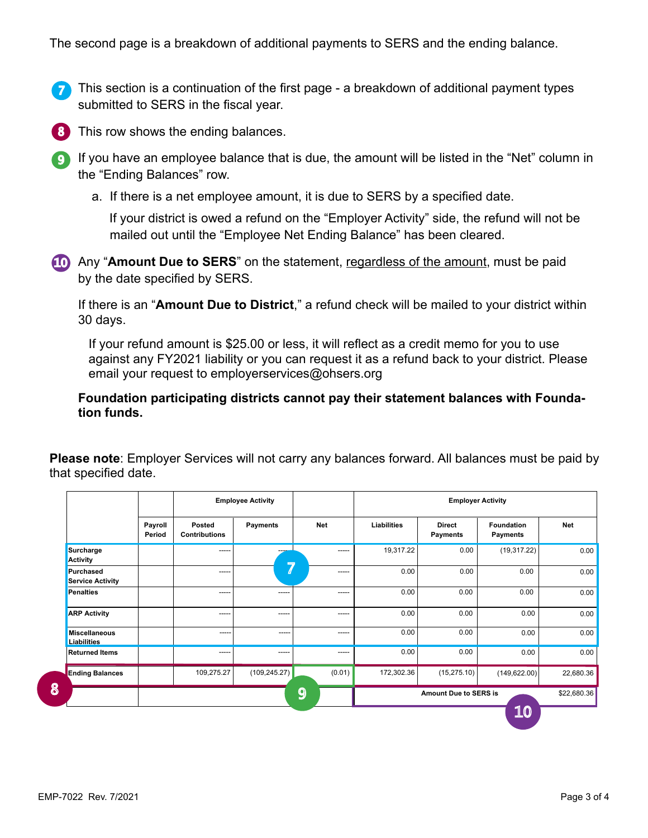The second page is a breakdown of additional payments to SERS and the ending balance.

- This section is a continuation of the first page a breakdown of additional payment types submitted to SERS in the fiscal year. 7
- 8 This row shows the ending balances.
- $\boldsymbol{\mathsf{g}}$  If you have an employee balance that is due, the amount will be listed in the "Net" column in the "Ending Balances" row.
	- a. If there is a net employee amount, it is due to SERS by a specified date.

 If your district is owed a refund on the "Employer Activity" side, the refund will not be mailed out until the "Employee Net Ending Balance" has been cleared.

10 Any "Amount Due to SERS" on the statement, regardless of the amount, must be paid by the date specified by SERS.

If there is an "**Amount Due to District**," a refund check will be mailed to your district within 30 days.

If your refund amount is \$25.00 or less, it will reflect as a credit memo for you to use against any FY2021 liability or you can request it as a refund back to your district. Please email your request to employerservices@ohsers.org

**Foundation participating districts cannot pay their statement balances with Foundation funds.**

**Please note**: Employer Services will not carry any balances forward. All balances must be paid by that specified date.

|                                             |                   |                                | <b>Employee Activity</b> |            |             | <b>Employer Activity</b>         |                               |             |
|---------------------------------------------|-------------------|--------------------------------|--------------------------|------------|-------------|----------------------------------|-------------------------------|-------------|
|                                             | Payroll<br>Period | Posted<br><b>Contributions</b> | Payments                 | <b>Net</b> | Liabilities | <b>Direct</b><br><b>Payments</b> | <b>Foundation</b><br>Payments | <b>Net</b>  |
| Surcharge<br><b>Activity</b>                |                   | ----                           |                          | -----      | 19,317.22   | 0.00                             | (19, 317.22)                  | 0.00        |
| <b>Purchased</b><br><b>Service Activity</b> |                   | -----                          | 7                        | ------     | 0.00        | 0.00                             | 0.00                          | 0.00        |
| <b>Penalties</b>                            |                   | -----                          | -----                    | ------     | 0.00        | 0.00                             | 0.00                          | 0.00        |
| <b>ARP Activity</b>                         |                   | $--- -$                        | ------                   | $-----1$   | 0.00        | 0.00                             | 0.00                          | 0.00        |
| <b>Miscellaneous</b><br><b>Liabilities</b>  |                   | $- - - - -$                    | -----                    | $-----1$   | 0.00        | 0.00                             | 0.00                          | 0.00        |
| <b>Returned Items</b>                       |                   | $- - - - -$                    | $- - - - -$              | $-----1$   | 0.00        | 0.00                             | 0.00                          | 0.00        |
| <b>Ending Balances</b>                      |                   | 109,275.27                     | (109, 245.27)            | (0.01)     | 172,302.36  | (15, 275.10)                     | (149, 622.00)                 | 22,680.36   |
|                                             |                   |                                |                          | 9          |             | <b>Amount Due to SERS is</b>     |                               | \$22,680.36 |
|                                             |                   |                                |                          |            |             |                                  | <b>10</b>                     |             |